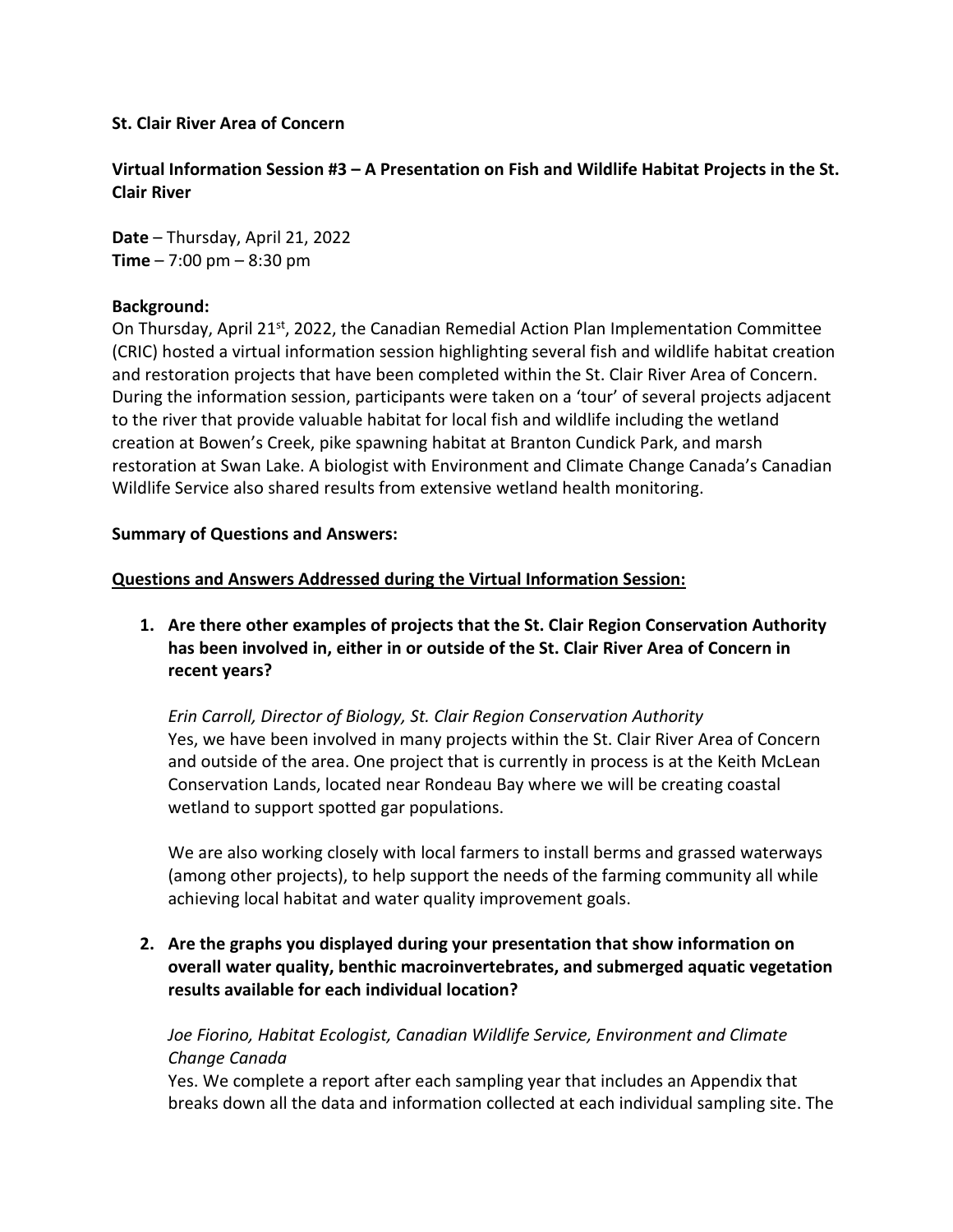### **St. Clair River Area of Concern**

**Virtual Information Session #3 – A Presentation on Fish and Wildlife Habitat Projects in the St. Clair River**

**Date** – Thursday, April 21, 2022 **Time** – 7:00 pm – 8:30 pm

### **Background:**

On Thursday, April 21<sup>st</sup>, 2022, the Canadian Remedial Action Plan Implementation Committee (CRIC) hosted a virtual information session highlighting several fish and wildlife habitat creation and restoration projects that have been completed within the St. Clair River Area of Concern. During the information session, participants were taken on a 'tour' of several projects adjacent to the river that provide valuable habitat for local fish and wildlife including the wetland creation at Bowen's Creek, pike spawning habitat at Branton Cundick Park, and marsh restoration at Swan Lake. A biologist with Environment and Climate Change Canada's Canadian Wildlife Service also shared results from extensive wetland health monitoring.

### **Summary of Questions and Answers:**

### **Questions and Answers Addressed during the Virtual Information Session:**

**1. Are there other examples of projects that the St. Clair Region Conservation Authority has been involved in, either in or outside of the St. Clair River Area of Concern in recent years?** 

*Erin Carroll, Director of Biology, St. Clair Region Conservation Authority* Yes, we have been involved in many projects within the St. Clair River Area of Concern and outside of the area. One project that is currently in process is at the Keith McLean Conservation Lands, located near Rondeau Bay where we will be creating coastal wetland to support spotted gar populations.

We are also working closely with local farmers to install berms and grassed waterways (among other projects), to help support the needs of the farming community all while achieving local habitat and water quality improvement goals.

**2. Are the graphs you displayed during your presentation that show information on overall water quality, benthic macroinvertebrates, and submerged aquatic vegetation results available for each individual location?**

# *Joe Fiorino, Habitat Ecologist, Canadian Wildlife Service, Environment and Climate Change Canada*

Yes. We complete a report after each sampling year that includes an Appendix that breaks down all the data and information collected at each individual sampling site. The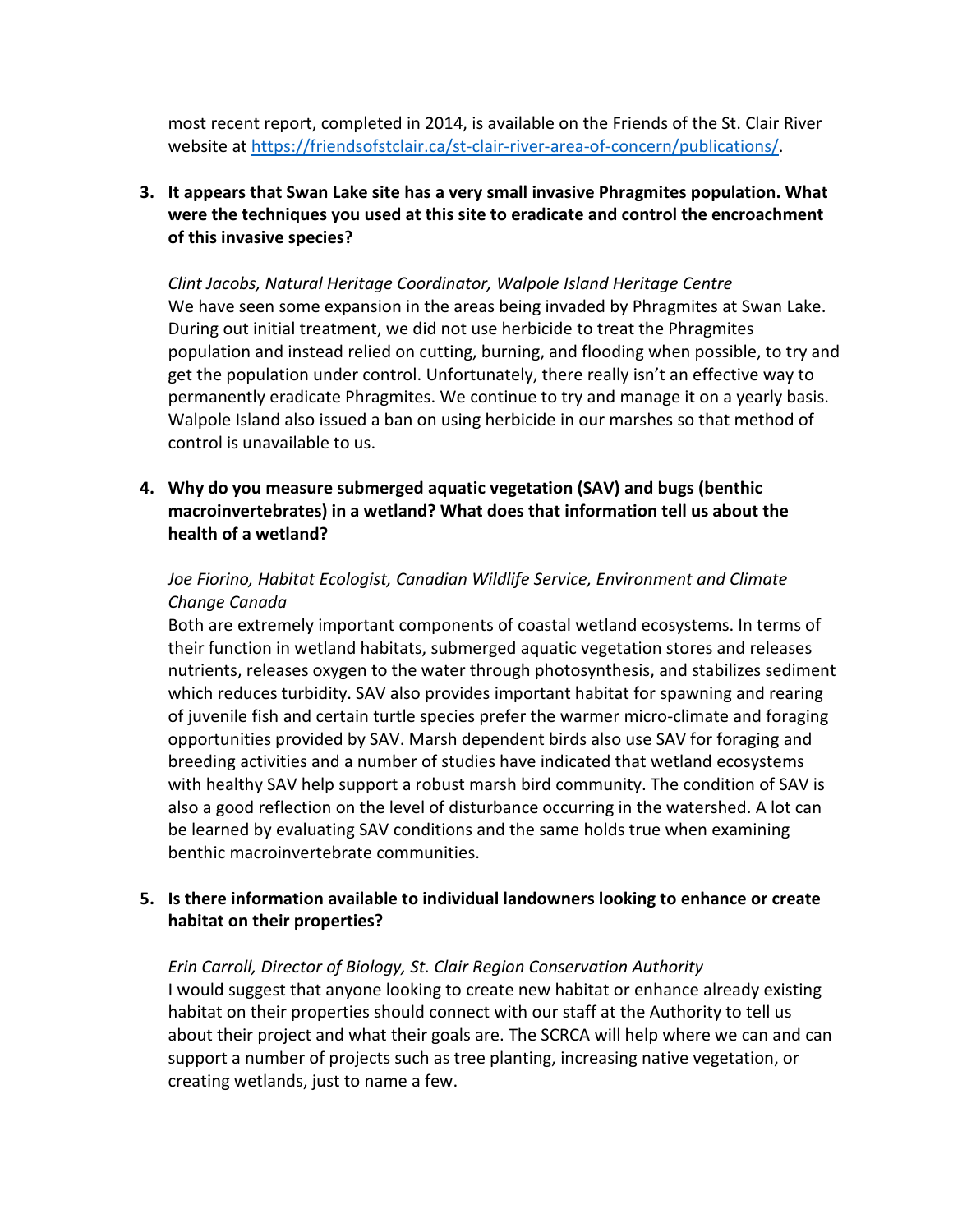most recent report, completed in 2014, is available on the Friends of the St. Clair River website at [https://friendsofstclair.ca/st-clair-river-area-of-concern/publications/.](https://friendsofstclair.ca/st-clair-river-area-of-concern/publications/)

# **3. It appears that Swan Lake site has a very small invasive Phragmites population. What were the techniques you used at this site to eradicate and control the encroachment of this invasive species?**

*Clint Jacobs, Natural Heritage Coordinator, Walpole Island Heritage Centre* We have seen some expansion in the areas being invaded by Phragmites at Swan Lake. During out initial treatment, we did not use herbicide to treat the Phragmites population and instead relied on cutting, burning, and flooding when possible, to try and get the population under control. Unfortunately, there really isn't an effective way to permanently eradicate Phragmites. We continue to try and manage it on a yearly basis. Walpole Island also issued a ban on using herbicide in our marshes so that method of control is unavailable to us.

**4. Why do you measure submerged aquatic vegetation (SAV) and bugs (benthic macroinvertebrates) in a wetland? What does that information tell us about the health of a wetland?**

# *Joe Fiorino, Habitat Ecologist, Canadian Wildlife Service, Environment and Climate Change Canada*

Both are extremely important components of coastal wetland ecosystems. In terms of their function in wetland habitats, submerged aquatic vegetation stores and releases nutrients, releases oxygen to the water through photosynthesis, and stabilizes sediment which reduces turbidity. SAV also provides important habitat for spawning and rearing of juvenile fish and certain turtle species prefer the warmer micro-climate and foraging opportunities provided by SAV. Marsh dependent birds also use SAV for foraging and breeding activities and a number of studies have indicated that wetland ecosystems with healthy SAV help support a robust marsh bird community. The condition of SAV is also a good reflection on the level of disturbance occurring in the watershed. A lot can be learned by evaluating SAV conditions and the same holds true when examining benthic macroinvertebrate communities.

## **5. Is there information available to individual landowners looking to enhance or create habitat on their properties?**

*Erin Carroll, Director of Biology, St. Clair Region Conservation Authority* I would suggest that anyone looking to create new habitat or enhance already existing habitat on their properties should connect with our staff at the Authority to tell us about their project and what their goals are. The SCRCA will help where we can and can support a number of projects such as tree planting, increasing native vegetation, or creating wetlands, just to name a few.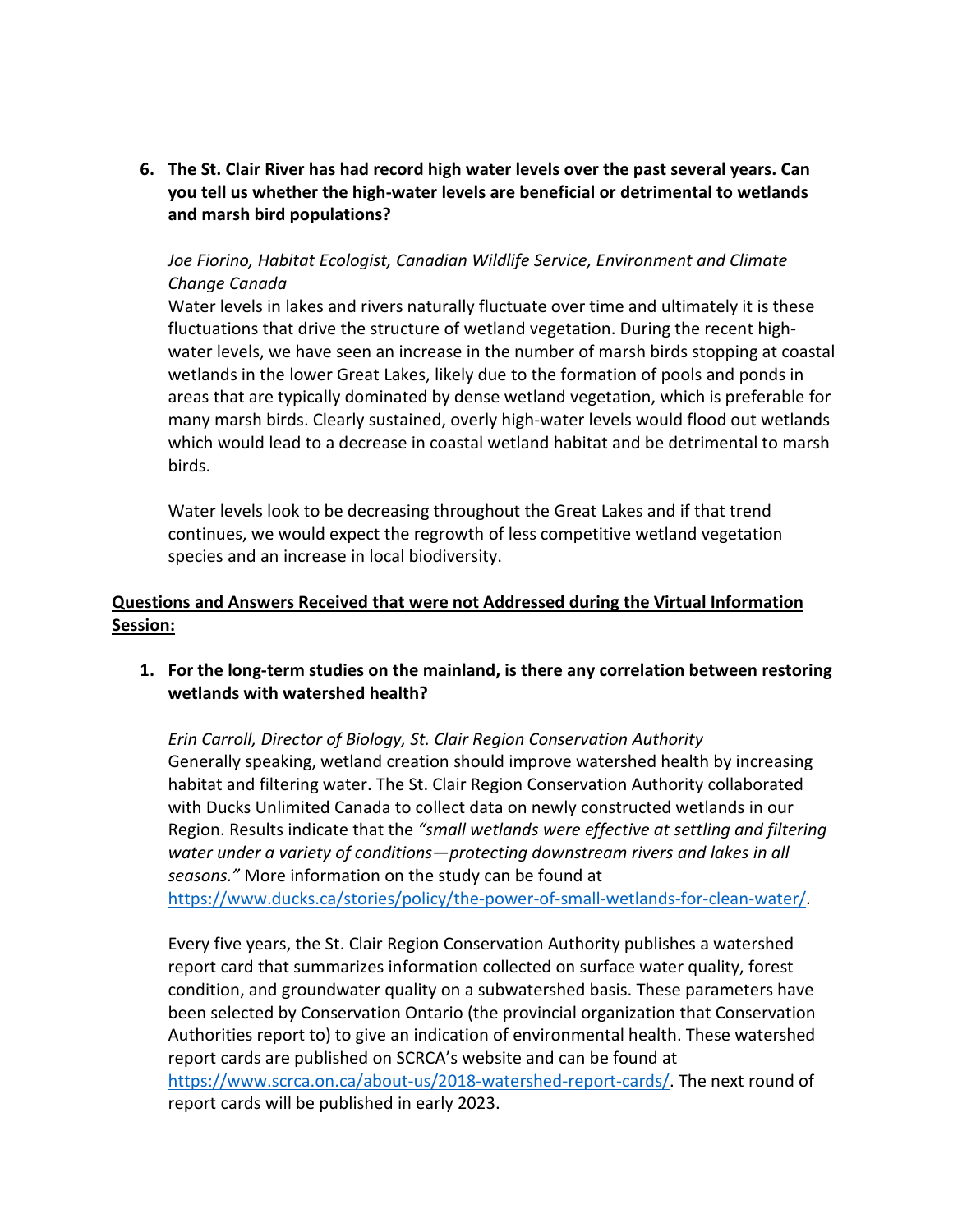**6. The St. Clair River has had record high water levels over the past several years. Can you tell us whether the high-water levels are beneficial or detrimental to wetlands and marsh bird populations?**

## *Joe Fiorino, Habitat Ecologist, Canadian Wildlife Service, Environment and Climate Change Canada*

Water levels in lakes and rivers naturally fluctuate over time and ultimately it is these fluctuations that drive the structure of wetland vegetation. During the recent highwater levels, we have seen an increase in the number of marsh birds stopping at coastal wetlands in the lower Great Lakes, likely due to the formation of pools and ponds in areas that are typically dominated by dense wetland vegetation, which is preferable for many marsh birds. Clearly sustained, overly high-water levels would flood out wetlands which would lead to a decrease in coastal wetland habitat and be detrimental to marsh birds.

Water levels look to be decreasing throughout the Great Lakes and if that trend continues, we would expect the regrowth of less competitive wetland vegetation species and an increase in local biodiversity.

# **Questions and Answers Received that were not Addressed during the Virtual Information Session:**

## **1. For the long-term studies on the mainland, is there any correlation between restoring wetlands with watershed health?**

*Erin Carroll, Director of Biology, St. Clair Region Conservation Authority*  Generally speaking, wetland creation should improve watershed health by increasing habitat and filtering water. The St. Clair Region Conservation Authority collaborated with Ducks Unlimited Canada to collect data on newly constructed wetlands in our Region. Results indicate that the *"small wetlands were effective at settling and filtering water under a variety of conditions—protecting downstream rivers and lakes in all seasons."* More information on the study can be found at [https://www.ducks.ca/stories/policy/the-power-of-small-wetlands-for-clean-water/.](https://www.ducks.ca/stories/policy/the-power-of-small-wetlands-for-clean-water/)

Every five years, the St. Clair Region Conservation Authority publishes a watershed report card that summarizes information collected on surface water quality, forest condition, and groundwater quality on a subwatershed basis. These parameters have been selected by Conservation Ontario (the provincial organization that Conservation Authorities report to) to give an indication of environmental health. These watershed report cards are published on SCRCA's website and can be found at [https://www.scrca.on.ca/about-us/2018-watershed-report-cards/.](https://www.scrca.on.ca/about-us/2018-watershed-report-cards/) The next round of report cards will be published in early 2023.